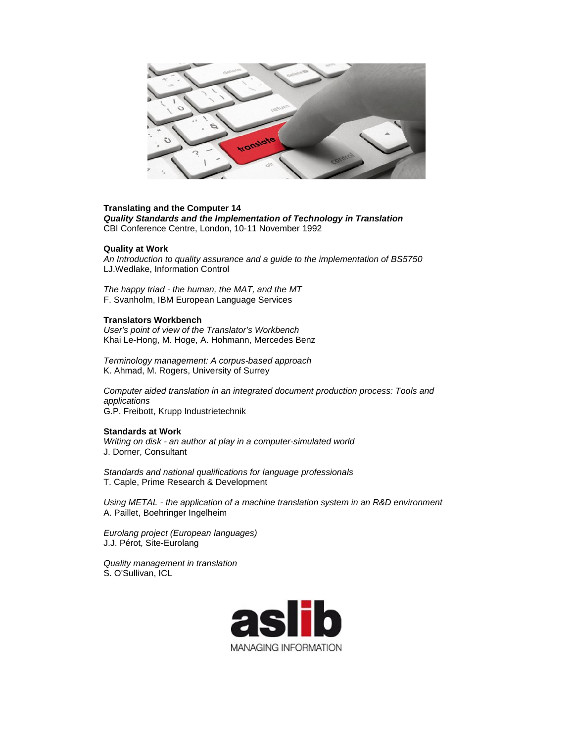

#### **Translating and the Computer 14**

*Quality Standards and the Implementation of Technology in Translation* CBI Conference Centre, London, 10-11 November 1992

### **Quality at Work**

*An Introduction to quality assurance and a guide to the implementation of BS5750* LJ.Wedlake, Information Control

*The happy triad - the human, the MAT, and the MT* F. Svanholm, IBM European Language Services

## **Translators Workbench**

*User's point of view of the Translator's Workbench* Khai Le-Hong, M. Hoge, A. Hohmann, Mercedes Benz

*Terminology management: A corpus-based approach*  K. Ahmad, M. Rogers, University of Surrey

*Computer aided translation in an integrated document production process: Tools and applications*  G.P. Freibott, Krupp Industrietechnik

#### **Standards at Work**

*Writing on disk - an author at play in a computer-simulated world*  J. Dorner, Consultant

*Standards and national qualifications for language professionals* T. Caple, Prime Research & Development

*Using METAL - the application of a machine translation system in an R&D environment* A. Paillet, Boehringer Ingelheim

*Eurolang project (European languages)*  J.J. Pérot, Site-Eurolang

*Quality management in translation*  S. O'Sullivan, ICL